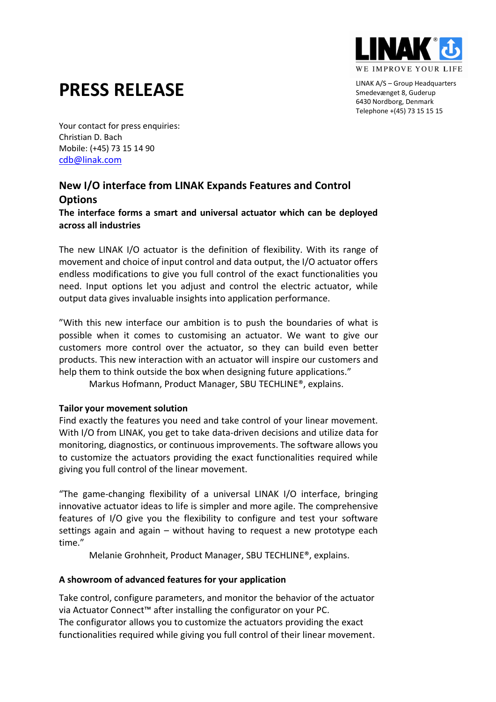

LINAK A/S – Group Headquarters Smedevænget 8, Guderup 6430 Nordborg, Denmark Telephone +(45) 73 15 15 15

# **PRESS RELEASE**

Your contact for press enquiries: Christian D. Bach Mobile: (+45) 73 15 14 90 [cdb@linak.com](mailto:cdb@linak.com)

## **New I/O interface from LINAK Expands Features and Control Options**

**The interface forms a smart and universal actuator which can be deployed across all industries**

The new LINAK I/O actuator is the definition of flexibility. With its range of movement and choice of input control and data output, the I/O actuator offers endless modifications to give you full control of the exact functionalities you need. Input options let you adjust and control the electric actuator, while output data gives invaluable insights into application performance.

"With this new interface our ambition is to push the boundaries of what is possible when it comes to customising an actuator. We want to give our customers more control over the actuator, so they can build even better products. This new interaction with an actuator will inspire our customers and help them to think outside the box when designing future applications."

Markus Hofmann, Product Manager, SBU TECHLINE®, explains.

## **Tailor your movement solution**

Find exactly the features you need and take control of your linear movement. With I/O from LINAK, you get to take data-driven decisions and utilize data for monitoring, diagnostics, or continuous improvements. The software allows you to customize the actuators providing the exact functionalities required while giving you full control of the linear movement.

"The game-changing flexibility of a universal LINAK I/O interface, bringing innovative actuator ideas to life is simpler and more agile. The comprehensive features of I/O give you the flexibility to configure and test your software settings again and again – without having to request a new prototype each time."

Melanie Grohnheit, Product Manager, SBU TECHLINE®, explains.

## **A showroom of advanced features for your application**

Take control, configure parameters, and monitor the behavior of the actuator via Actuator Connect™ after installing the configurator on your PC. The configurator allows you to customize the actuators providing the exact functionalities required while giving you full control of their linear movement.